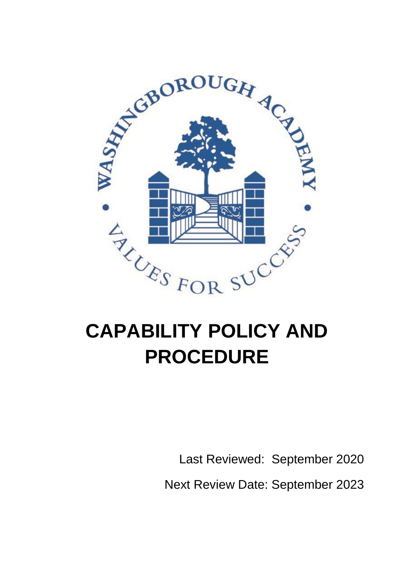

# **PROCEDURE**

Last Reviewed: September 2020

Next Review Date: September 2023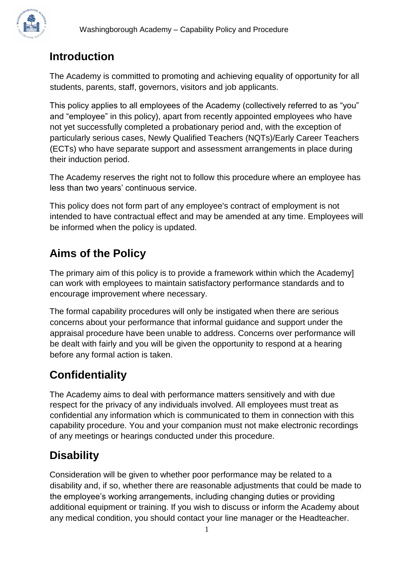#### **Introduction**

The Academy is committed to promoting and achieving equality of opportunity for all students, parents, staff, governors, visitors and job applicants.

This policy applies to all employees of the Academy (collectively referred to as "you" and "employee" in this policy), apart from recently appointed employees who have not yet successfully completed a probationary period and, with the exception of particularly serious cases, Newly Qualified Teachers (NQTs)/Early Career Teachers (ECTs) who have separate support and assessment arrangements in place during their induction period.

The Academy reserves the right not to follow this procedure where an employee has less than two years' continuous service.

This policy does not form part of any employee's contract of employment is not intended to have contractual effect and may be amended at any time. Employees will be informed when the policy is updated.

#### **Aims of the Policy**

The primary aim of this policy is to provide a framework within which the Academy] can work with employees to maintain satisfactory performance standards and to encourage improvement where necessary.

The formal capability procedures will only be instigated when there are serious concerns about your performance that informal guidance and support under the appraisal procedure have been unable to address. Concerns over performance will be dealt with fairly and you will be given the opportunity to respond at a hearing before any formal action is taken.

## **Confidentiality**

The Academy aims to deal with performance matters sensitively and with due respect for the privacy of any individuals involved. All employees must treat as confidential any information which is communicated to them in connection with this capability procedure. You and your companion must not make electronic recordings of any meetings or hearings conducted under this procedure.

# **Disability**

Consideration will be given to whether poor performance may be related to a disability and, if so, whether there are reasonable adjustments that could be made to the employee's working arrangements, including changing duties or providing additional equipment or training. If you wish to discuss or inform the Academy about any medical condition, you should contact your line manager or the Headteacher.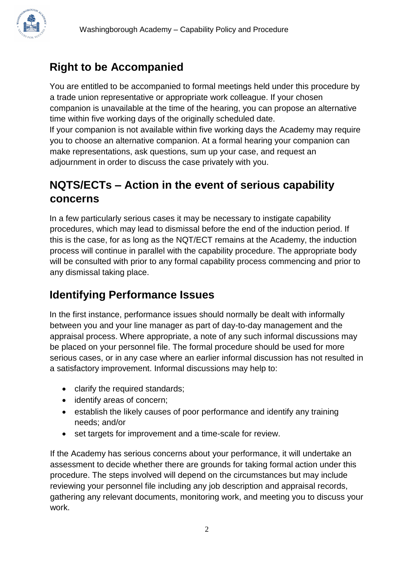## **Right to be Accompanied**

You are entitled to be accompanied to formal meetings held under this procedure by a trade union representative or appropriate work colleague. If your chosen companion is unavailable at the time of the hearing, you can propose an alternative time within five working days of the originally scheduled date. If your companion is not available within five working days the Academy may require you to choose an alternative companion. At a formal hearing your companion can

make representations, ask questions, sum up your case, and request an adjournment in order to discuss the case privately with you.

## **NQTS/ECTs – Action in the event of serious capability concerns**

In a few particularly serious cases it may be necessary to instigate capability procedures, which may lead to dismissal before the end of the induction period. If this is the case, for as long as the NQT/ECT remains at the Academy, the induction process will continue in parallel with the capability procedure. The appropriate body will be consulted with prior to any formal capability process commencing and prior to any dismissal taking place.

## **Identifying Performance Issues**

In the first instance, performance issues should normally be dealt with informally between you and your line manager as part of day-to-day management and the appraisal process. Where appropriate, a note of any such informal discussions may be placed on your personnel file. The formal procedure should be used for more serious cases, or in any case where an earlier informal discussion has not resulted in a satisfactory improvement. Informal discussions may help to:

- clarify the required standards;
- identify areas of concern;
- establish the likely causes of poor performance and identify any training needs; and/or
- set targets for improvement and a time-scale for review.

If the Academy has serious concerns about your performance, it will undertake an assessment to decide whether there are grounds for taking formal action under this procedure. The steps involved will depend on the circumstances but may include reviewing your personnel file including any job description and appraisal records, gathering any relevant documents, monitoring work, and meeting you to discuss your work.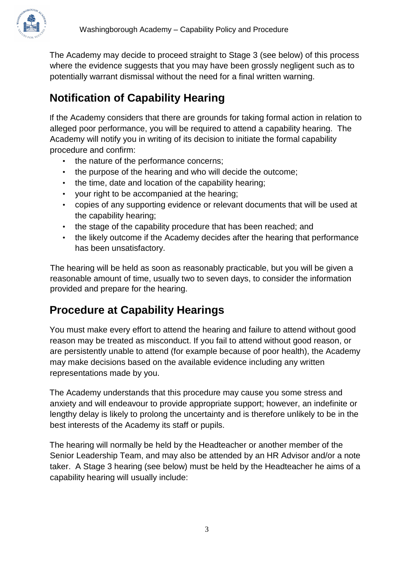

The Academy may decide to proceed straight to Stage 3 (see below) of this process where the evidence suggests that you may have been grossly negligent such as to potentially warrant dismissal without the need for a final written warning.

# **Notification of Capability Hearing**

If the Academy considers that there are grounds for taking formal action in relation to alleged poor performance, you will be required to attend a capability hearing. The Academy will notify you in writing of its decision to initiate the formal capability procedure and confirm:

- the nature of the performance concerns;
- the purpose of the hearing and who will decide the outcome;
- the time, date and location of the capability hearing;
- your right to be accompanied at the hearing;
- copies of any supporting evidence or relevant documents that will be used at the capability hearing;
- the stage of the capability procedure that has been reached; and
- the likely outcome if the Academy decides after the hearing that performance has been unsatisfactory.

The hearing will be held as soon as reasonably practicable, but you will be given a reasonable amount of time, usually two to seven days, to consider the information provided and prepare for the hearing.

#### **Procedure at Capability Hearings**

You must make every effort to attend the hearing and failure to attend without good reason may be treated as misconduct. If you fail to attend without good reason, or are persistently unable to attend (for example because of poor health), the Academy may make decisions based on the available evidence including any written representations made by you.

The Academy understands that this procedure may cause you some stress and anxiety and will endeavour to provide appropriate support; however, an indefinite or lengthy delay is likely to prolong the uncertainty and is therefore unlikely to be in the best interests of the Academy its staff or pupils.

The hearing will normally be held by the Headteacher or another member of the Senior Leadership Team, and may also be attended by an HR Advisor and/or a note taker. A Stage 3 hearing (see below) must be held by the Headteacher he aims of a capability hearing will usually include: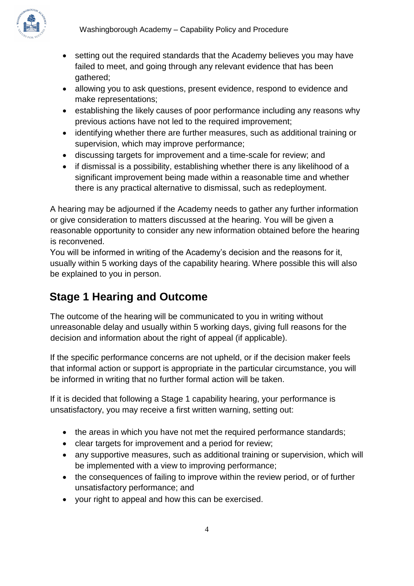

- setting out the required standards that the Academy believes you may have failed to meet, and going through any relevant evidence that has been gathered;
- allowing you to ask questions, present evidence, respond to evidence and make representations;
- establishing the likely causes of poor performance including any reasons why previous actions have not led to the required improvement;
- identifying whether there are further measures, such as additional training or supervision, which may improve performance;
- discussing targets for improvement and a time-scale for review; and
- if dismissal is a possibility, establishing whether there is any likelihood of a significant improvement being made within a reasonable time and whether there is any practical alternative to dismissal, such as redeployment.

A hearing may be adjourned if the Academy needs to gather any further information or give consideration to matters discussed at the hearing. You will be given a reasonable opportunity to consider any new information obtained before the hearing is reconvened.

You will be informed in writing of the Academy's decision and the reasons for it, usually within 5 working days of the capability hearing. Where possible this will also be explained to you in person.

# **Stage 1 Hearing and Outcome**

The outcome of the hearing will be communicated to you in writing without unreasonable delay and usually within 5 working days, giving full reasons for the decision and information about the right of appeal (if applicable).

If the specific performance concerns are not upheld, or if the decision maker feels that informal action or support is appropriate in the particular circumstance, you will be informed in writing that no further formal action will be taken.

If it is decided that following a Stage 1 capability hearing, your performance is unsatisfactory, you may receive a first written warning, setting out:

- the areas in which you have not met the required performance standards;
- clear targets for improvement and a period for review;
- any supportive measures, such as additional training or supervision, which will be implemented with a view to improving performance;
- the consequences of failing to improve within the review period, or of further unsatisfactory performance; and
- your right to appeal and how this can be exercised.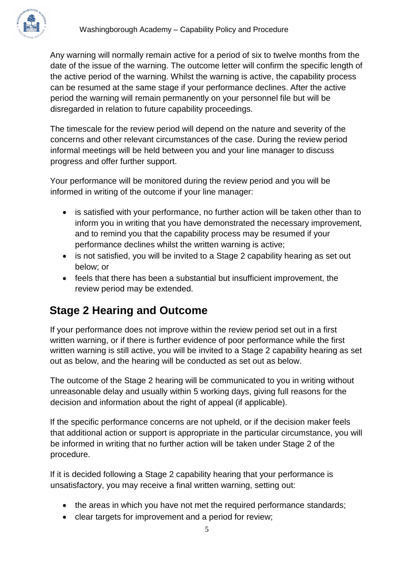Any warning will normally remain active for a period of six to twelve months from the date of the issue of the warning. The outcome letter will confirm the specific length of the active period of the warning. Whilst the warning is active, the capability process can be resumed at the same stage if your performance declines. After the active period the warning will remain permanently on your personnel file but will be disregarded in relation to future capability proceedings.

The timescale for the review period will depend on the nature and severity of the concerns and other relevant circumstances of the case. During the review period informal meetings will be held between you and your line manager to discuss progress and offer further support.

Your performance will be monitored during the review period and you will be informed in writing of the outcome if your line manager:

- is satisfied with your performance, no further action will be taken other than to inform you in writing that you have demonstrated the necessary improvement, and to remind you that the capability process may be resumed if your performance declines whilst the written warning is active;
- is not satisfied, you will be invited to a Stage 2 capability hearing as set out below; or
- feels that there has been a substantial but insufficient improvement, the review period may be extended.

#### **Stage 2 Hearing and Outcome**

If your performance does not improve within the review period set out in a first written warning, or if there is further evidence of poor performance while the first written warning is still active, you will be invited to a Stage 2 capability hearing as set out as below, and the hearing will be conducted as set out as below.

The outcome of the Stage 2 hearing will be communicated to you in writing without unreasonable delay and usually within 5 working days, giving full reasons for the decision and information about the right of appeal (if applicable).

If the specific performance concerns are not upheld, or if the decision maker feels that additional action or support is appropriate in the particular circumstance, you will be informed in writing that no further action will be taken under Stage 2 of the procedure.

If it is decided following a Stage 2 capability hearing that your performance is unsatisfactory, you may receive a final written warning, setting out:

- the areas in which you have not met the required performance standards;
- clear targets for improvement and a period for review;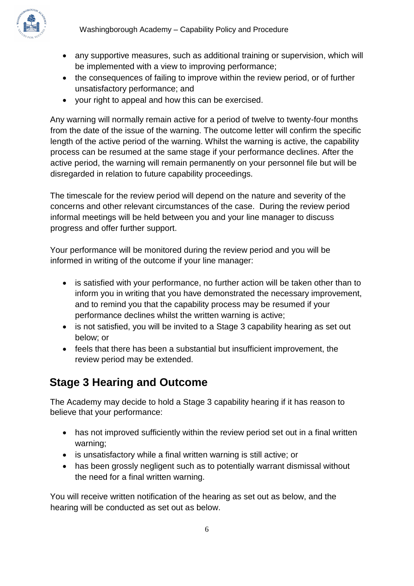

- any supportive measures, such as additional training or supervision, which will be implemented with a view to improving performance;
- the consequences of failing to improve within the review period, or of further unsatisfactory performance; and
- your right to appeal and how this can be exercised.

Any warning will normally remain active for a period of twelve to twenty-four months from the date of the issue of the warning. The outcome letter will confirm the specific length of the active period of the warning. Whilst the warning is active, the capability process can be resumed at the same stage if your performance declines. After the active period, the warning will remain permanently on your personnel file but will be disregarded in relation to future capability proceedings.

The timescale for the review period will depend on the nature and severity of the concerns and other relevant circumstances of the case. During the review period informal meetings will be held between you and your line manager to discuss progress and offer further support.

Your performance will be monitored during the review period and you will be informed in writing of the outcome if your line manager:

- is satisfied with your performance, no further action will be taken other than to inform you in writing that you have demonstrated the necessary improvement, and to remind you that the capability process may be resumed if your performance declines whilst the written warning is active;
- is not satisfied, you will be invited to a Stage 3 capability hearing as set out below; or
- feels that there has been a substantial but insufficient improvement, the review period may be extended.

## **Stage 3 Hearing and Outcome**

The Academy may decide to hold a Stage 3 capability hearing if it has reason to believe that your performance:

- has not improved sufficiently within the review period set out in a final written warning;
- is unsatisfactory while a final written warning is still active; or
- has been grossly negligent such as to potentially warrant dismissal without the need for a final written warning.

You will receive written notification of the hearing as set out as below, and the hearing will be conducted as set out as below.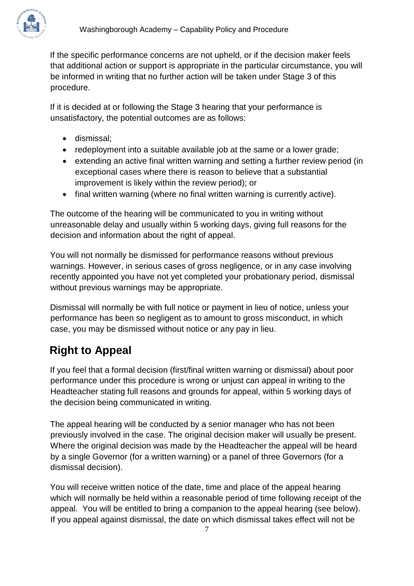

If the specific performance concerns are not upheld, or if the decision maker feels that additional action or support is appropriate in the particular circumstance, you will be informed in writing that no further action will be taken under Stage 3 of this procedure.

If it is decided at or following the Stage 3 hearing that your performance is unsatisfactory, the potential outcomes are as follows:

- dismissal;
- redeployment into a suitable available job at the same or a lower grade;
- extending an active final written warning and setting a further review period (in exceptional cases where there is reason to believe that a substantial improvement is likely within the review period); or
- final written warning (where no final written warning is currently active).

The outcome of the hearing will be communicated to you in writing without unreasonable delay and usually within 5 working days, giving full reasons for the decision and information about the right of appeal.

You will not normally be dismissed for performance reasons without previous warnings. However, in serious cases of gross negligence, or in any case involving recently appointed you have not yet completed your probationary period, dismissal without previous warnings may be appropriate.

Dismissal will normally be with full notice or payment in lieu of notice, unless your performance has been so negligent as to amount to gross misconduct, in which case, you may be dismissed without notice or any pay in lieu.

## **Right to Appeal**

If you feel that a formal decision (first/final written warning or dismissal) about poor performance under this procedure is wrong or unjust can appeal in writing to the Headteacher stating full reasons and grounds for appeal, within 5 working days of the decision being communicated in writing.

The appeal hearing will be conducted by a senior manager who has not been previously involved in the case. The original decision maker will usually be present. Where the original decision was made by the Headteacher the appeal will be heard by a single Governor (for a written warning) or a panel of three Governors (for a dismissal decision).

You will receive written notice of the date, time and place of the appeal hearing which will normally be held within a reasonable period of time following receipt of the appeal. You will be entitled to bring a companion to the appeal hearing (see below). If you appeal against dismissal, the date on which dismissal takes effect will not be